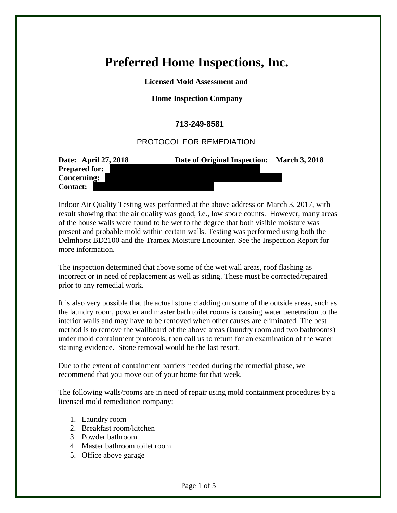## **Preferred Home Inspections, Inc.**

 **Licensed Mold Assessment and**

## **Home Inspection Company**

## **713-249-8581**

## PROTOCOL FOR REMEDIATION

| Date: April 27, 2018 | Date of Original Inspection: | <b>March 3, 2018</b> |
|----------------------|------------------------------|----------------------|
| <b>Prepared for:</b> |                              |                      |
| <b>Concerning:</b>   |                              |                      |
| <b>Contact:</b>      |                              |                      |

Indoor Air Quality Testing was performed at the above address on March 3, 2017, with result showing that the air quality was good, i.e., low spore counts. However, many areas of the house walls were found to be wet to the degree that both visible moisture was present and probable mold within certain walls. Testing was performed using both the Delmhorst BD2100 and the Tramex Moisture Encounter. See the Inspection Report for more information.

The inspection determined that above some of the wet wall areas, roof flashing as incorrect or in need of replacement as well as siding. These must be corrected/repaired prior to any remedial work.

It is also very possible that the actual stone cladding on some of the outside areas, such as the laundry room, powder and master bath toilet rooms is causing water penetration to the interior walls and may have to be removed when other causes are eliminated. The best method is to remove the wallboard of the above areas (laundry room and two bathrooms) under mold containment protocols, then call us to return for an examination of the water staining evidence. Stone removal would be the last resort.

Due to the extent of containment barriers needed during the remedial phase, we recommend that you move out of your home for that week.

The following walls/rooms are in need of repair using mold containment procedures by a licensed mold remediation company:

- 1. Laundry room
- 2. Breakfast room/kitchen
- 3. Powder bathroom
- 4. Master bathroom toilet room
- 5. Office above garage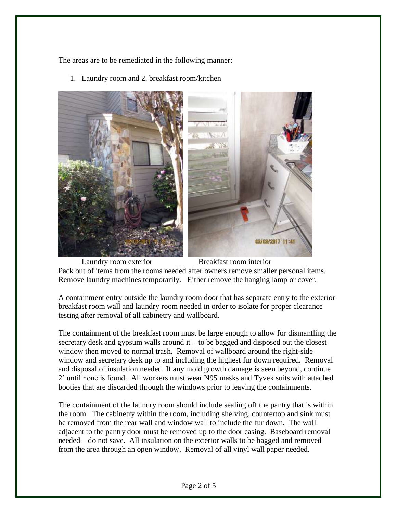The areas are to be remediated in the following manner:

1. Laundry room and 2. breakfast room/kitchen



Laundry room exterior Breakfast room interior Pack out of items from the rooms needed after owners remove smaller personal items. Remove laundry machines temporarily. Either remove the hanging lamp or cover.

A containment entry outside the laundry room door that has separate entry to the exterior breakfast room wall and laundry room needed in order to isolate for proper clearance testing after removal of all cabinetry and wallboard.

The containment of the breakfast room must be large enough to allow for dismantling the secretary desk and gypsum walls around it – to be bagged and disposed out the closest window then moved to normal trash. Removal of wallboard around the right-side window and secretary desk up to and including the highest fur down required. Removal and disposal of insulation needed. If any mold growth damage is seen beyond, continue 2' until none is found. All workers must wear N95 masks and Tyvek suits with attached booties that are discarded through the windows prior to leaving the containments.

The containment of the laundry room should include sealing off the pantry that is within the room. The cabinetry within the room, including shelving, countertop and sink must be removed from the rear wall and window wall to include the fur down. The wall adjacent to the pantry door must be removed up to the door casing. Baseboard removal needed – do not save. All insulation on the exterior walls to be bagged and removed from the area through an open window. Removal of all vinyl wall paper needed.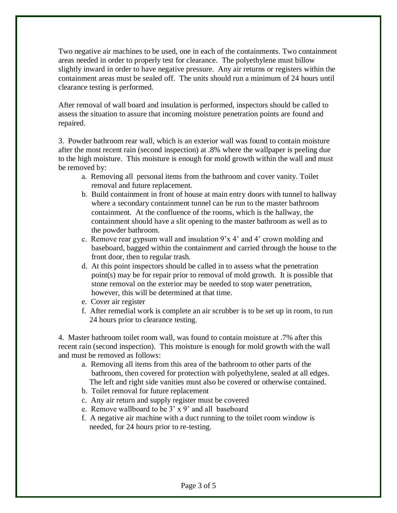Two negative air machines to be used, one in each of the containments. Two containment areas needed in order to properly test for clearance. The polyethylene must billow slightly inward in order to have negative pressure. Any air returns or registers within the containment areas must be sealed off. The units should run a minimum of 24 hours until clearance testing is performed.

After removal of wall board and insulation is performed, inspectors should be called to assess the situation to assure that incoming moisture penetration points are found and repaired.

3. Powder bathroom rear wall, which is an exterior wall was found to contain moisture after the most recent rain (second inspection) at .8% where the wallpaper is peeling due to the high moisture. This moisture is enough for mold growth within the wall and must be removed by:

- a. Removing all personal items from the bathroom and cover vanity. Toilet removal and future replacement.
- b. Build containment in front of house at main entry doors with tunnel to hallway where a secondary containment tunnel can be run to the master bathroom containment. At the confluence of the rooms, which is the hallway, the containment should have a slit opening to the master bathroom as well as to the powder bathroom.
- c. Remove rear gypsum wall and insulation  $9'x 4'$  and 4' crown molding and baseboard, bagged within the containment and carried through the house to the front door, then to regular trash.
- d. At this point inspectors should be called in to assess what the penetration point(s) may be for repair prior to removal of mold growth. It is possible that stone removal on the exterior may be needed to stop water penetration, however, this will be determined at that time.
- e. Cover air register
- f. After remedial work is complete an air scrubber is to be set up in room, to run 24 hours prior to clearance testing.

4. Master bathroom toilet room wall, was found to contain moisture at .7% after this recent rain (second inspection). This moisture is enough for mold growth with the wall and must be removed as follows:

- a. Removing all items from this area of the bathroom to other parts of the bathroom, then covered for protection with polyethylene, sealed at all edges. The left and right side vanities must also be covered or otherwise contained.
- b. Toilet removal for future replacement
- c. Any air return and supply register must be covered
- e. Remove wallboard to be 3' x 9' and all baseboard
- f. A negative air machine with a duct running to the toilet room window is needed, for 24 hours prior to re-testing.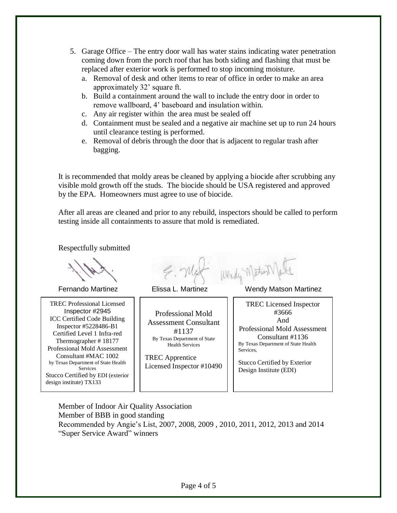- 5. Garage Office The entry door wall has water stains indicating water penetration coming down from the porch roof that has both siding and flashing that must be replaced after exterior work is performed to stop incoming moisture.
	- a. Removal of desk and other items to rear of office in order to make an area approximately 32' square ft.
	- b. Build a containment around the wall to include the entry door in order to remove wallboard, 4' baseboard and insulation within.
	- c. Any air register within the area must be sealed off
	- d. Containment must be sealed and a negative air machine set up to run 24 hours until clearance testing is performed.
	- e. Removal of debris through the door that is adjacent to regular trash after bagging.

It is recommended that moldy areas be cleaned by applying a biocide after scrubbing any visible mold growth off the studs. The biocide should be USA registered and approved by the EPA. Homeowners must agree to use of biocide.

After all areas are cleaned and prior to any rebuild, inspectors should be called to perform testing inside all containments to assure that mold is remediated.

Respectfully submitted

TREC Professional Licensed Inspector #2945 ICC Certified Code Building Inspector #5228486-B1 Certified Level 1 Infra-red Thermographer # 18177 Professional Mold Assessment Consultant #MAC 1002 by Texas Department of State Health Services Stucco Certified by EDI (exterior design institute) TX133

Wendy MaterN

Professional Mold Assessment Consultant #1137 By Texas Department of State Health Services

TREC Apprentice Licensed Inspector #10490

Fernando Martinez Elissa L. Martinez Wendy Matson Martinez

TREC Licensed Inspector #3666 And Professional Mold Assessment Consultant #1136 By Texas Department of State Health Services,

Stucco Certified by Exterior Design Institute (EDI)

Member of Indoor Air Quality Association Member of BBB in good standing Recommended by Angie's List, 2007, 2008, 2009 , 2010, 2011, 2012, 2013 and 2014 "Super Service Award" winners